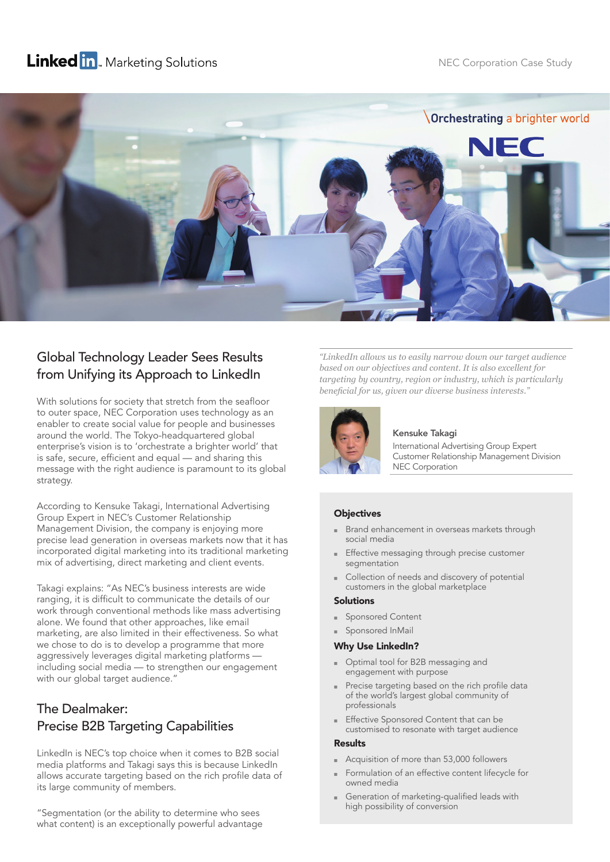# **Linked in**. Marketing Solutions



## Global Technology Leader Sees Results from Unifying its Approach to LinkedIn

With solutions for society that stretch from the seafloor to outer space, NEC Corporation uses technology as an enabler to create social value for people and businesses around the world. The Tokyo-headquartered global enterprise's vision is to 'orchestrate a brighter world' that is safe, secure, efficient and equal — and sharing this message with the right audience is paramount to its global strategy.

According to Kensuke Takagi, International Advertising Group Expert in NEC's Customer Relationship Management Division, the company is enjoying more precise lead generation in overseas markets now that it has incorporated digital marketing into its traditional marketing mix of advertising, direct marketing and client events.

Takagi explains: "As NEC's business interests are wide ranging, it is difficult to communicate the details of our work through conventional methods like mass advertising alone. We found that other approaches, like email marketing, are also limited in their effectiveness. So what we chose to do is to develop a programme that more aggressively leverages digital marketing platforms including social media — to strengthen our engagement with our global target audience."

### The Dealmaker: Precise B2B Targeting Capabilities

LinkedIn is NEC's top choice when it comes to B2B social media platforms and Takagi says this is because LinkedIn allows accurate targeting based on the rich profile data of its large community of members.

"Segmentation (or the ability to determine who sees what content) is an exceptionally powerful advantage *"LinkedIn allows us to easily narrow down our target audience based on our objectives and content. It is also excellent for targeting by country, region or industry, which is particularly beneficial for us, given our diverse business interests.*"



#### Kensuke Takagi

International Advertising Group Expert Customer Relationship Management Division NEC Corporation

### **Objectives**

- Brand enhancement in overseas markets through social media
- Effective messaging through precise customer segmentation
- Collection of needs and discovery of potential customers in the global marketplace

#### Solutions

- Sponsored Content
- Sponsored InMail

#### Why Use LinkedIn?

- Optimal tool for B2B messaging and engagement with purpose
- Precise targeting based on the rich profile data of the world's largest global community of professionals
- Effective Sponsored Content that can be customised to resonate with target audience

#### Results

- Acquisition of more than 53,000 followers
- Formulation of an effective content lifecycle for owned media
- Generation of marketing-qualified leads with high possibility of conversion